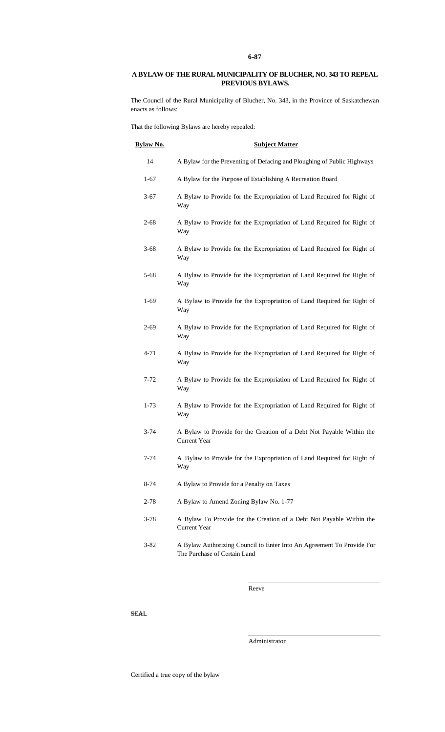## **A BYLAW OF THE RURAL MUNICIPALITY OF BLUCHER, NO. 343 TO REPEAL PREVIOUS BYLAWS.**

The Council of the Rural Municipality of Blucher, No. 343, in the Province of Saskatchewan enacts as follows:

That the following Bylaws are hereby repealed:

| <b>Bylaw No.</b> | <b>Subject Matter</b>                                                                                 |
|------------------|-------------------------------------------------------------------------------------------------------|
| 14               | A Bylaw for the Preventing of Defacing and Ploughing of Public Highways                               |
| $1-67$           | A Bylaw for the Purpose of Establishing A Recreation Board                                            |
| $3 - 67$         | A Bylaw to Provide for the Expropriation of Land Required for Right of<br>Way                         |
| $2 - 68$         | A Bylaw to Provide for the Expropriation of Land Required for Right of<br>Way                         |
| $3 - 68$         | A Bylaw to Provide for the Expropriation of Land Required for Right of<br>Way                         |
| $5 - 68$         | A Bylaw to Provide for the Expropriation of Land Required for Right of<br>Way                         |
| $1-69$           | A Bylaw to Provide for the Expropriation of Land Required for Right of<br>Way                         |
| $2 - 69$         | A Bylaw to Provide for the Expropriation of Land Required for Right of<br>Way                         |
| $4 - 71$         | A Bylaw to Provide for the Expropriation of Land Required for Right of<br>Way                         |
| $7 - 72$         | A Bylaw to Provide for the Expropriation of Land Required for Right of<br>Way                         |
| $1 - 73$         | A Bylaw to Provide for the Expropriation of Land Required for Right of<br>Way                         |
| $3 - 74$         | A Bylaw to Provide for the Creation of a Debt Not Payable Within the<br><b>Current Year</b>           |
| 7-74             | A Bylaw to Provide for the Expropriation of Land Required for Right of<br>Way                         |
| 8-74             | A Bylaw to Provide for a Penalty on Taxes                                                             |
| $2 - 78$         | A Bylaw to Amend Zoning Bylaw No. 1-77                                                                |
| $3 - 78$         | A Bylaw To Provide for the Creation of a Debt Not Payable Within the<br><b>Current Year</b>           |
| $3 - 82$         | A Bylaw Authorizing Council to Enter Into An Agreement To Provide For<br>The Purchase of Certain Land |

Reeve

SEAL

Administrator

Certified a true copy of the bylaw